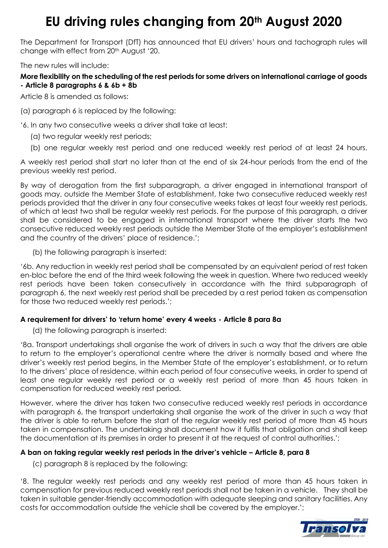## **EU driving rules changing from 20th August 2020**

The Department for Transport (DfT) has announced that EU drivers' hours and tachograph rules will change with effect from 20<sup>th</sup> August '20.

The new rules will include:

#### **More flexibility on the scheduling of the rest periods for some drivers on international carriage of goods - Article 8 paragraphs 6 & 6b + 8b**

Article 8 is amended as follows:

(a) paragraph 6 is replaced by the following:

'6. In any two consecutive weeks a driver shall take at least:

- (a) two regular weekly rest periods;
- (b) one regular weekly rest period and one reduced weekly rest period of at least 24 hours.

A weekly rest period shall start no later than at the end of six 24-hour periods from the end of the previous weekly rest period.

By way of derogation from the first subparagraph, a driver engaged in international transport of goods may, outside the Member State of establishment, take two consecutive reduced weekly rest periods provided that the driver in any four consecutive weeks takes at least four weekly rest periods, of which at least two shall be regular weekly rest periods. For the purpose of this paragraph, a driver shall be considered to be engaged in international transport where the driver starts the two consecutive reduced weekly rest periods outside the Member State of the employer's establishment and the country of the drivers' place of residence.';

(b) the following paragraph is inserted:

'6b. Any reduction in weekly rest period shall be compensated by an equivalent period of rest taken en-bloc before the end of the third week following the week in question. Where two reduced weekly rest periods have been taken consecutively in accordance with the third subparagraph of paragraph 6, the next weekly rest period shall be preceded by a rest period taken as compensation for those two reduced weekly rest periods.';

#### **A requirement for drivers' to 'return home' every 4 weeks - Article 8 para 8a**

(d) the following paragraph is inserted:

'8a. Transport undertakings shall organise the work of drivers in such a way that the drivers are able to return to the employer's operational centre where the driver is normally based and where the driver's weekly rest period begins, in the Member State of the employer's establishment, or to return to the drivers' place of residence, within each period of four consecutive weeks, in order to spend at least one regular weekly rest period or a weekly rest period of more than 45 hours taken in compensation for reduced weekly rest period.

However, where the driver has taken two consecutive reduced weekly rest periods in accordance with paragraph 6, the transport undertaking shall organise the work of the driver in such a way that the driver is able to return before the start of the regular weekly rest period of more than 45 hours taken in compensation. The undertaking shall document how it fulfils that obligation and shall keep the documentation at its premises in order to present it at the request of control authorities.';

#### **A ban on taking regular weekly rest periods in the driver's vehicle – Article 8, para 8**

(c) paragraph 8 is replaced by the following:

'8. The regular weekly rest periods and any weekly rest period of more than 45 hours taken in compensation for previous reduced weekly rest periods shall not be taken in a vehicle. They shall be taken in suitable gender-friendly accommodation with adequate sleeping and sanitary facilities. Any costs for accommodation outside the vehicle shall be covered by the employer.';